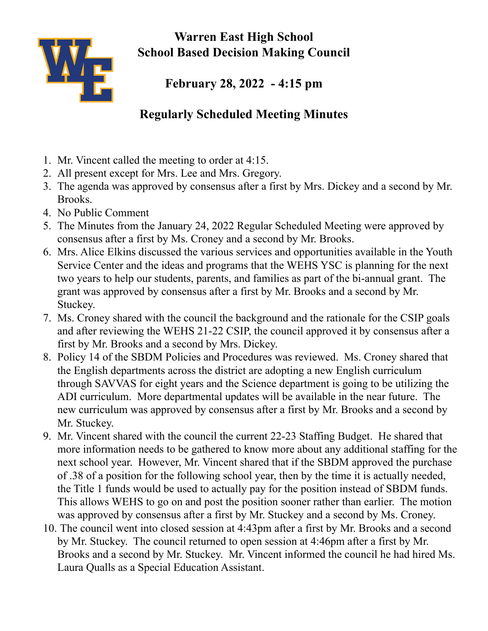

**Warren East High School School Based Decision Making Council**

**February 28, 2022 - 4:15 pm**

## **Regularly Scheduled Meeting Minutes**

- 1. Mr. Vincent called the meeting to order at 4:15.
- 2. All present except for Mrs. Lee and Mrs. Gregory.
- 3. The agenda was approved by consensus after a first by Mrs. Dickey and a second by Mr. Brooks.
- 4. No Public Comment
- 5. The Minutes from the January 24, 2022 Regular Scheduled Meeting were approved by consensus after a first by Ms. Croney and a second by Mr. Brooks.
- 6. Mrs. Alice Elkins discussed the various services and opportunities available in the Youth Service Center and the ideas and programs that the WEHS YSC is planning for the next two years to help our students, parents, and families as part of the bi-annual grant. The grant was approved by consensus after a first by Mr. Brooks and a second by Mr. Stuckey.
- 7. Ms. Croney shared with the council the background and the rationale for the CSIP goals and after reviewing the WEHS 21-22 CSIP, the council approved it by consensus after a first by Mr. Brooks and a second by Mrs. Dickey.
- 8. Policy 14 of the SBDM Policies and Procedures was reviewed. Ms. Croney shared that the English departments across the district are adopting a new English curriculum through SAVVAS for eight years and the Science department is going to be utilizing the ADI curriculum. More departmental updates will be available in the near future. The new curriculum was approved by consensus after a first by Mr. Brooks and a second by Mr. Stuckey.
- 9. Mr. Vincent shared with the council the current 22-23 Staffing Budget. He shared that more information needs to be gathered to know more about any additional staffing for the next school year. However, Mr. Vincent shared that if the SBDM approved the purchase of .38 of a position for the following school year, then by the time it is actually needed, the Title 1 funds would be used to actually pay for the position instead of SBDM funds. This allows WEHS to go on and post the position sooner rather than earlier. The motion was approved by consensus after a first by Mr. Stuckey and a second by Ms. Croney.
- 10. The council went into closed session at 4:43pm after a first by Mr. Brooks and a second by Mr. Stuckey. The council returned to open session at 4:46pm after a first by Mr. Brooks and a second by Mr. Stuckey. Mr. Vincent informed the council he had hired Ms. Laura Qualls as a Special Education Assistant.